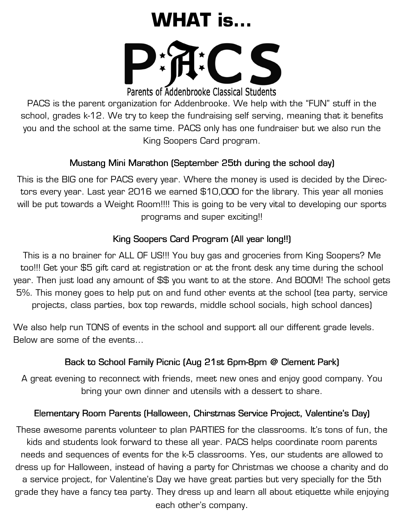# **WHAT is…**



Parents of Addenbrooke Classical Students

PACS is the parent organization for Addenbrooke. We help with the "FUN" stuff in the school, grades k-12. We try to keep the fundraising self serving, meaning that it benefits you and the school at the same time. PACS only has one fundraiser but we also run the King Soopers Card program.

## Mustang Mini Marathon (September 25th during the school day)

This is the BIG one for PACS every year. Where the money is used is decided by the Directors every year. Last year 2016 we earned \$10,000 for the library. This year all monies will be put towards a Weight Room!!!! This is going to be very vital to developing our sports programs and super exciting!!

## King Soopers Card Program (All year long!!)

This is a no brainer for ALL OF US!!! You buy gas and groceries from King Soopers? Me too!!! Get your \$5 gift card at registration or at the front desk any time during the school year. Then just load any amount of \$\$ you want to at the store. And BOOM! The school gets 5%. This money goes to help put on and fund other events at the school (tea party, service projects, class parties, box top rewards, middle school socials, high school dances)

We also help run TONS of events in the school and support all our different grade levels. Below are some of the events…

# Back to School Family Picnic (Aug 21st 6pm-8pm @ Clement Park)

A great evening to reconnect with friends, meet new ones and enjoy good company. You bring your own dinner and utensils with a dessert to share.

#### Elementary Room Parents (Halloween, Chirstmas Service Project, Valentine's Day)

These awesome parents volunteer to plan PARTIES for the classrooms. It's tons of fun, the kids and students look forward to these all year. PACS helps coordinate room parents needs and sequences of events for the k-5 classrooms. Yes, our students are allowed to dress up for Halloween, instead of having a party for Christmas we choose a charity and do a service project, for Valentine's Day we have great parties but very specially for the 5th grade they have a fancy tea party. They dress up and learn all about etiquette while enjoying each other's company.